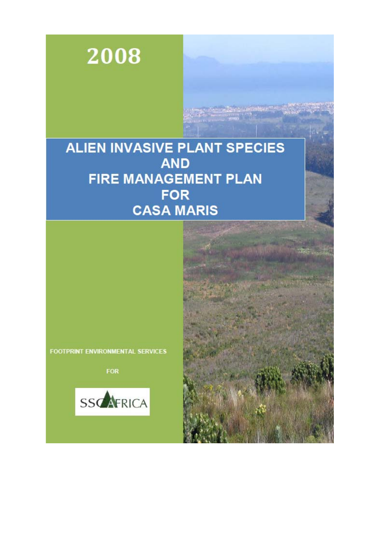

## **ALIEN INVASIVE PLANT SPECIES AND** FIRE MANAGEMENT PLAN **FOR CASA MARIS**

FOOTPRINT ENVIRONMENTAL SERVICES

**FOR**